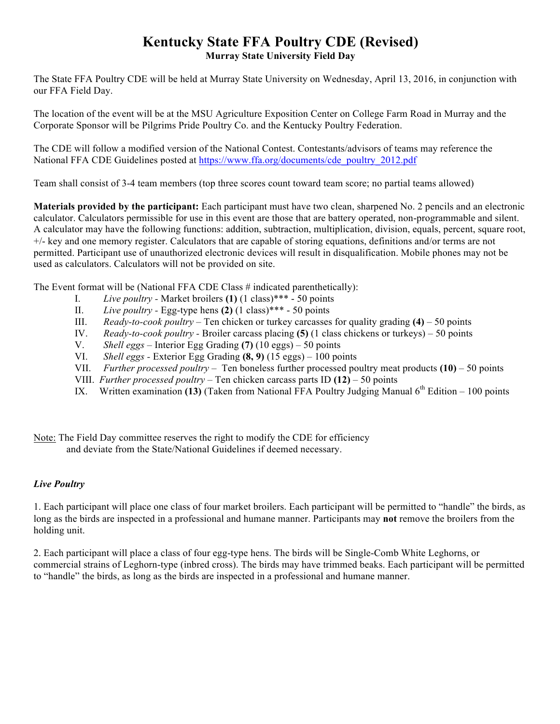## **Kentucky State FFA Poultry CDE (Revised) Murray State University Field Day**

The State FFA Poultry CDE will be held at Murray State University on Wednesday, April 13, 2016, in conjunction with our FFA Field Day.

The location of the event will be at the MSU Agriculture Exposition Center on College Farm Road in Murray and the Corporate Sponsor will be Pilgrims Pride Poultry Co. and the Kentucky Poultry Federation.

The CDE will follow a modified version of the National Contest. Contestants/advisors of teams may reference the National FFA CDE Guidelines posted at https://www.ffa.org/documents/cde\_poultry\_2012.pdf

Team shall consist of 3-4 team members (top three scores count toward team score; no partial teams allowed)

**Materials provided by the participant:** Each participant must have two clean, sharpened No. 2 pencils and an electronic calculator. Calculators permissible for use in this event are those that are battery operated, non-programmable and silent. A calculator may have the following functions: addition, subtraction, multiplication, division, equals, percent, square root, +/- key and one memory register. Calculators that are capable of storing equations, definitions and/or terms are not permitted. Participant use of unauthorized electronic devices will result in disqualification. Mobile phones may not be used as calculators. Calculators will not be provided on site.

The Event format will be (National FFA CDE Class # indicated parenthetically):

- I. *Live poultry -* Market broilers **(1)** (1 class)\*\*\* 50 points
- II. *Live poultry -* Egg-type hens **(2)** (1 class)\*\*\* 50 points
- III. *Ready-to-cook poultry* Ten chicken or turkey carcasses for quality grading **(4)** 50 points
- IV. *Ready-to-cook poultry -* Broiler carcass placing **(5)** (1 class chickens or turkeys) 50 points
- V. *Shell eggs*  Interior Egg Grading **(7)** (10 eggs) 50 points
- VI. *Shell eggs -* Exterior Egg Grading **(8, 9)** (15 eggs) 100 points
- VII. *Further processed poultry* Ten boneless further processed poultry meat products **(10)** 50 points
- VIII. *Further processed poultry* Ten chicken carcass parts ID **(12)** 50 points
- IX. Written examination (13) (Taken from National FFA Poultry Judging Manual 6<sup>th</sup> Edition 100 points

Note: The Field Day committee reserves the right to modify the CDE for efficiency and deviate from the State/National Guidelines if deemed necessary.

## *Live Poultry*

1. Each participant will place one class of four market broilers. Each participant will be permitted to "handle" the birds, as long as the birds are inspected in a professional and humane manner. Participants may **not** remove the broilers from the holding unit.

2. Each participant will place a class of four egg-type hens. The birds will be Single-Comb White Leghorns, or commercial strains of Leghorn-type (inbred cross). The birds may have trimmed beaks. Each participant will be permitted to "handle" the birds, as long as the birds are inspected in a professional and humane manner.